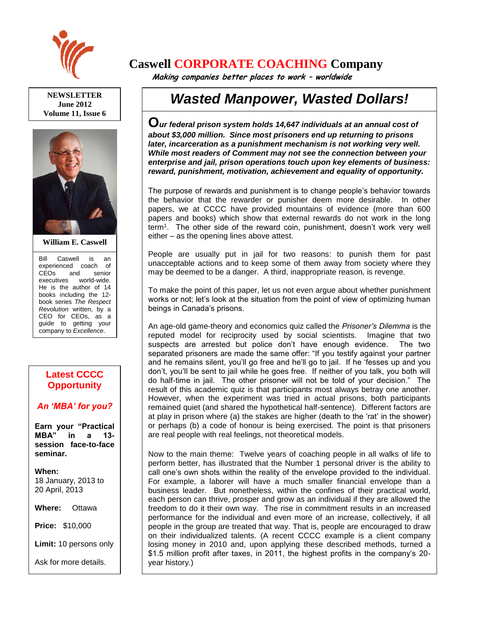

**NEWSLETTER June 2012 Volume 11, Issue 6**



**William E. Caswell**

Bill Caswell is an experienced coach of CEOs and senior executives world-wide. He is the author of 14 books including the 12 book series *The Respect Revolution* written, by a CEO for CEOs, as a guide to getting your company to *Excellence*.

## **Latest CCCC Opportunity**

## *An 'MBA' for you?*

**Earn your "Practical MBA" in a 13 session face-to-face seminar.**

**When:**  18 January, 2013 to 20 April, 2013

**Where:** Ottawa

**Price:** \$10,000

**Limit:** 10 persons only

Ask for more details.

## **Caswell CORPORATE COACHING Company**

 **Making companies better places to work – worldwide**

## *Wasted Manpower, Wasted Dollars!*

**O***ur federal prison system holds 14,647 individuals at an annual cost of about \$3,000 million. Since most prisoners end up returning to prisons later, incarceration as a punishment mechanism is not working very well. While most readers of Comment may not see the connection between your enterprise and jail, prison operations touch upon key elements of business: reward, punishment, motivation, achievement and equality of opportunity.*

The purpose of rewards and punishment is to change people's behavior towards the behavior that the rewarder or punisher deem more desirable. In other papers, we at CCCC have provided mountains of evidence (more than 600 papers and books) which show that external rewards do not work in the long term<sup>1</sup> . The other side of the reward coin, punishment, doesn't work very well either – as the opening lines above attest.

People are usually put in jail for two reasons: to punish them for past unacceptable actions and to keep some of them away from society where they may be deemed to be a danger. A third, inappropriate reason, is revenge.

To make the point of this paper, let us not even argue about whether punishment works or not; let's look at the situation from the point of view of optimizing human beings in Canada's prisons.

An age-old game-theory and economics quiz called the *Prisoner's Dilemma* is the reputed model for reciprocity used by social scientists. Imagine that two suspects are arrested but police don't have enough evidence. The two separated prisoners are made the same offer: "If you testify against your partner and he remains silent, you'll go free and he'll go to jail. If he 'fesses up and you don't, you'll be sent to jail while he goes free. If neither of you talk, you both will do half-time in jail. The other prisoner will not be told of your decision." The result of this academic quiz is that participants most always betray one another. However, when the experiment was tried in actual prisons, both participants remained quiet (and shared the hypothetical half-sentence). Different factors are at play in prison where (a) the stakes are higher (death to the 'rat' in the shower) or perhaps (b) a code of honour is being exercised. The point is that prisoners are real people with real feelings, not theoretical models.

Now to the main theme: Twelve years of coaching people in all walks of life to perform better, has illustrated that the Number 1 personal driver is the ability to call one's own shots within the reality of the envelope provided to the individual. For example, a laborer will have a much smaller financial envelope than a business leader. But nonetheless, within the confines of their practical world, each person can thrive, prosper and grow as an individual if they are allowed the freedom to do it their own way. The rise in commitment results in an increased performance for the individual and even more of an increase, collectively, if all people in the group are treated that way. That is, people are encouraged to draw on their individualized talents. (A recent CCCC example is a client company losing money in 2010 and, upon applying these described methods, turned a \$1.5 million profit after taxes, in 2011, the highest profits in the company's 20 year history.)